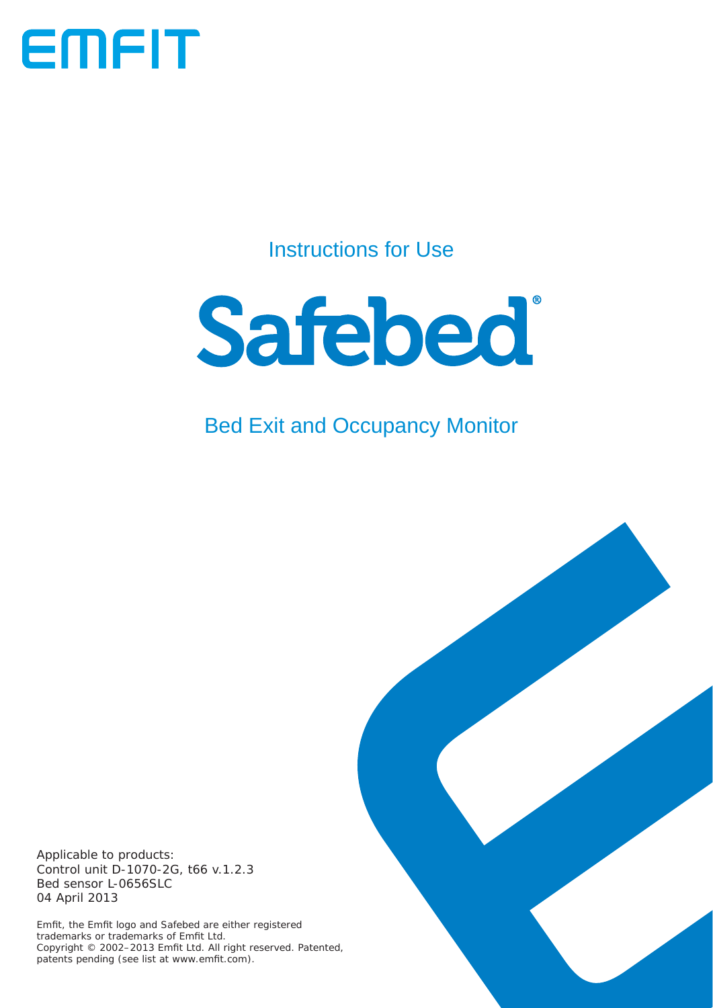

# Instructions for Use



# Bed Exit and Occupancy Monitor

Applicable to products: Control unit D-1070-2G, t66 v.1.2.3 Bed sensor L-0656SLC 04 April 2013

Emfit, the Emfit logo and Safebed are either registered trademarks or trademarks of Emfi t Ltd. Copyright © 2002-2013 Emfit Ltd. All right reserved. Patented, patents pending (see list at www.emfit.com).

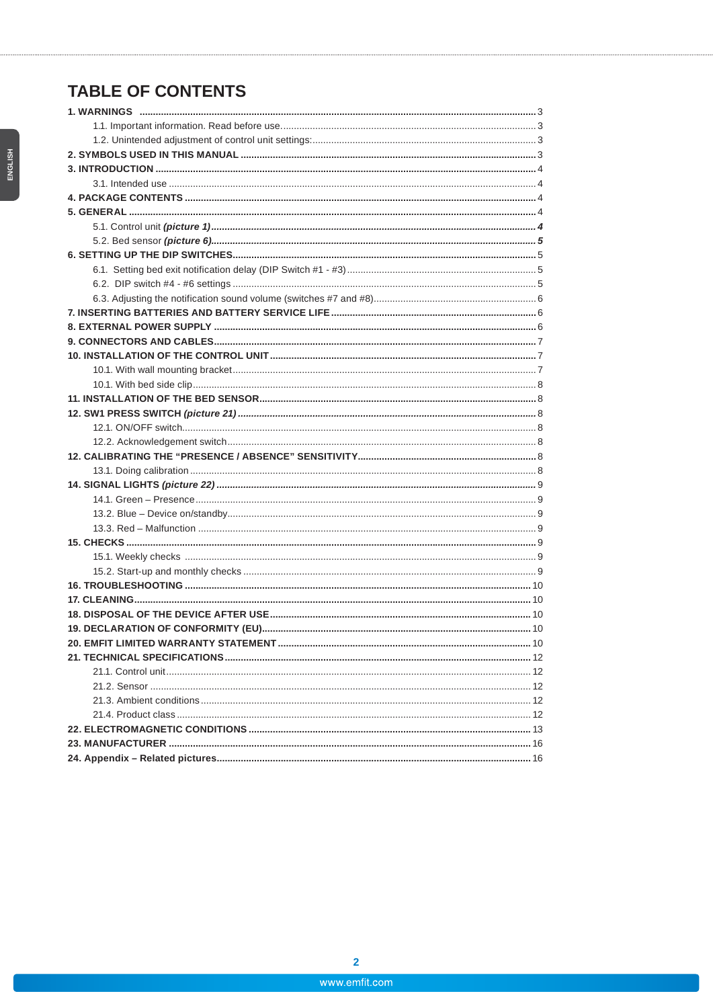# **TABLE OF CONTENTS**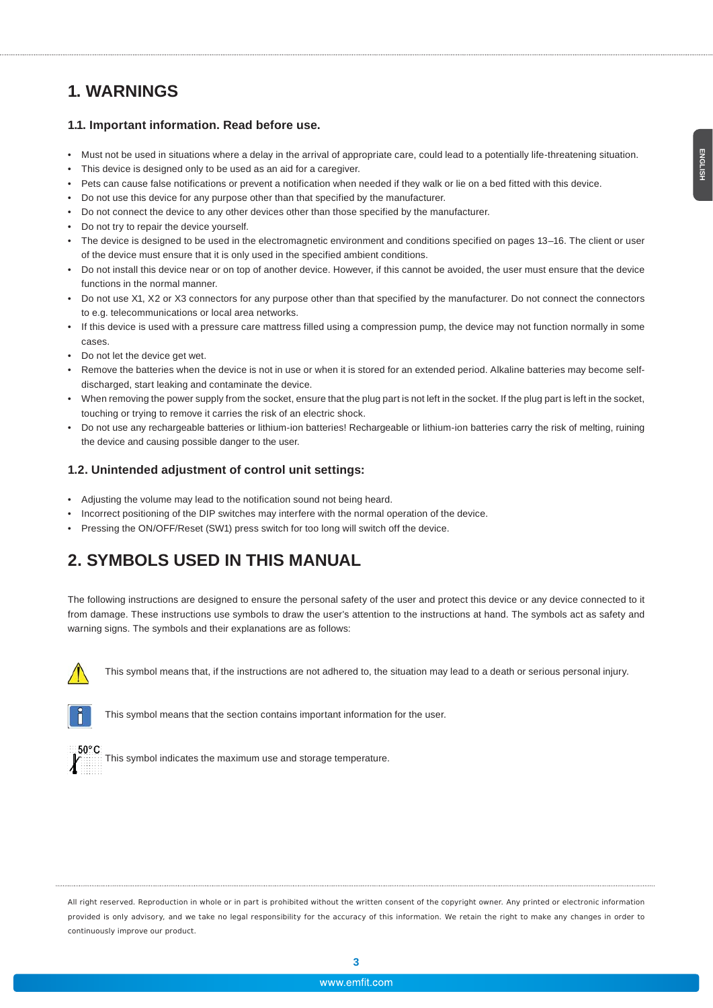## **1. WARNINGS**

#### **1.1. Important information. Read before use.**

- Must not be used in situations where a delay in the arrival of appropriate care, could lead to a potentially life-threatening situation.
- This device is designed only to be used as an aid for a caregiver.
- Pets can cause false notifications or prevent a notification when needed if they walk or lie on a bed fitted with this device.
- Do not use this device for any purpose other than that specified by the manufacturer.
- Do not connect the device to any other devices other than those specified by the manufacturer.
- Do not try to repair the device yourself.
- The device is designed to be used in the electromagnetic environment and conditions specified on pages 13–16. The client or user of the device must ensure that it is only used in the specified ambient conditions.
- Do not install this device near or on top of another device. However, if this cannot be avoided, the user must ensure that the device functions in the normal manner.
- Do not use X1, X2 or X3 connectors for any purpose other than that specified by the manufacturer. Do not connect the connectors to e.g. telecommunications or local area networks.
- If this device is used with a pressure care mattress filled using a compression pump, the device may not function normally in some cases.
- Do not let the device get wet.
- Remove the batteries when the device is not in use or when it is stored for an extended period. Alkaline batteries may become selfdischarged, start leaking and contaminate the device.
- When removing the power supply from the socket, ensure that the plug part is not left in the socket. If the plug part is left in the socket, touching or trying to remove it carries the risk of an electric shock.
- Do not use any rechargeable batteries or lithium-ion batteries! Rechargeable or lithium-ion batteries carry the risk of melting, ruining the device and causing possible danger to the user.

#### **1.2. Unintended adjustment of control unit settings:**

- Adjusting the volume may lead to the notification sound not being heard.
- Incorrect positioning of the DIP switches may interfere with the normal operation of the device.
- Pressing the ON/OFF/Reset (SW1) press switch for too long will switch off the device.

### **2. SYMBOLS USED IN THIS MANUAL**

The following instructions are designed to ensure the personal safety of the user and protect this device or any device connected to it from damage. These instructions use symbols to draw the user's attention to the instructions at hand. The symbols act as safety and warning signs. The symbols and their explanations are as follows:



This symbol means that, if the instructions are not adhered to, the situation may lead to a death or serious personal injury.



This symbol means that the section contains important information for the user.



This symbol indicates the maximum use and storage temperature.

All right reserved. Reproduction in whole or in part is prohibited without the written consent of the copyright owner. Any printed or electronic information provided is only advisory, and we take no legal responsibility for the accuracy of this information. We retain the right to make any changes in order to continuously improve our product.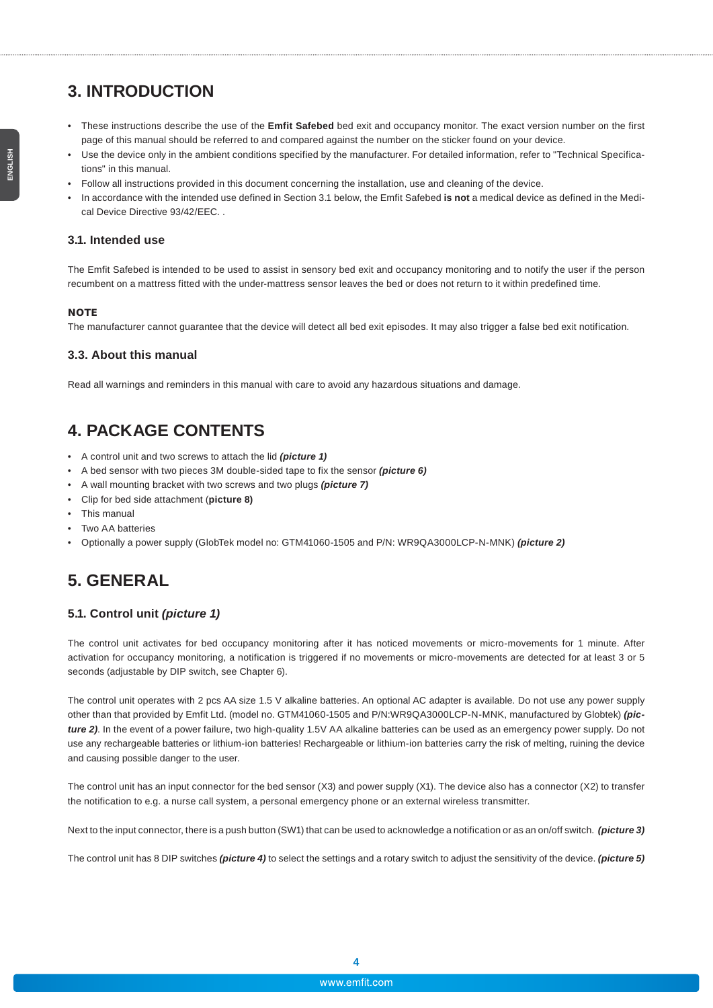# **3. INTRODUCTION**

- These instructions describe the use of the **Emfit Safebed** bed exit and occupancy monitor. The exact version number on the first page of this manual should be referred to and compared against the number on the sticker found on your device.
- Use the device only in the ambient conditions specified by the manufacturer. For detailed information, refer to "Technical Specifications" in this manual.
- Follow all instructions provided in this document concerning the installation, use and cleaning of the device.
- In accordance with the intended use defined in Section 3.1 below, the Emfit Safebed **is not** a medical device as defined in the Medical Device Directive 93/42/EEC. .

#### **3.1. Intended use**

The Emfit Safebed is intended to be used to assist in sensory bed exit and occupancy monitoring and to notify the user if the person recumbent on a mattress fitted with the under-mattress sensor leaves the bed or does not return to it within predefined time.

#### **NOTE**

The manufacturer cannot guarantee that the device will detect all bed exit episodes. It may also trigger a false bed exit notification.

#### **3.3. About this manual**

Read all warnings and reminders in this manual with care to avoid any hazardous situations and damage.

### **4. PACKAGE CONTENTS**

- A control unit and two screws to attach the lid *(picture 1)*
- A bed sensor with two pieces 3M double-sided tape to fix the sensor *(picture 6)*
- A wall mounting bracket with two screws and two plugs *(picture 7)*
- Clip for bed side attachment (**picture 8)**
- This manual
- Two AA batteries
- Optionally a power supply (GlobTek model no: GTM41060-1505 and P/N: WR9QA3000LCP-N-MNK) *(picture 2)*

### **5. GENERAL**

#### **5.1. Control unit** *(picture 1)*

The control unit activates for bed occupancy monitoring after it has noticed movements or micro-movements for 1 minute. After activation for occupancy monitoring, a notification is triggered if no movements or micro-movements are detected for at least 3 or 5 seconds (adjustable by DIP switch, see Chapter 6).

The control unit operates with 2 pcs AA size 1.5 V alkaline batteries. An optional AC adapter is available. Do not use any power supply other than that provided by Emfit Ltd. (model no. GTM41060-1505 and P/N:WR9QA3000LCP-N-MNK, manufactured by Globtek) *(picture 2)*. In the event of a power failure, two high-quality 1.5V AA alkaline batteries can be used as an emergency power supply. Do not use any rechargeable batteries or lithium-ion batteries! Rechargeable or lithium-ion batteries carry the risk of melting, ruining the device and causing possible danger to the user.

The control unit has an input connector for the bed sensor (X3) and power supply (X1). The device also has a connector (X2) to transfer the notification to e.g. a nurse call system, a personal emergency phone or an external wireless transmitter.

Next to the input connector, there is a push button (SW1) that can be used to acknowledge a notification or as an on/off switch. *(picture 3)*

The control unit has 8 DIP switches *(picture 4)* to select the settings and a rotary switch to adjust the sensitivity of the device. *(picture 5)*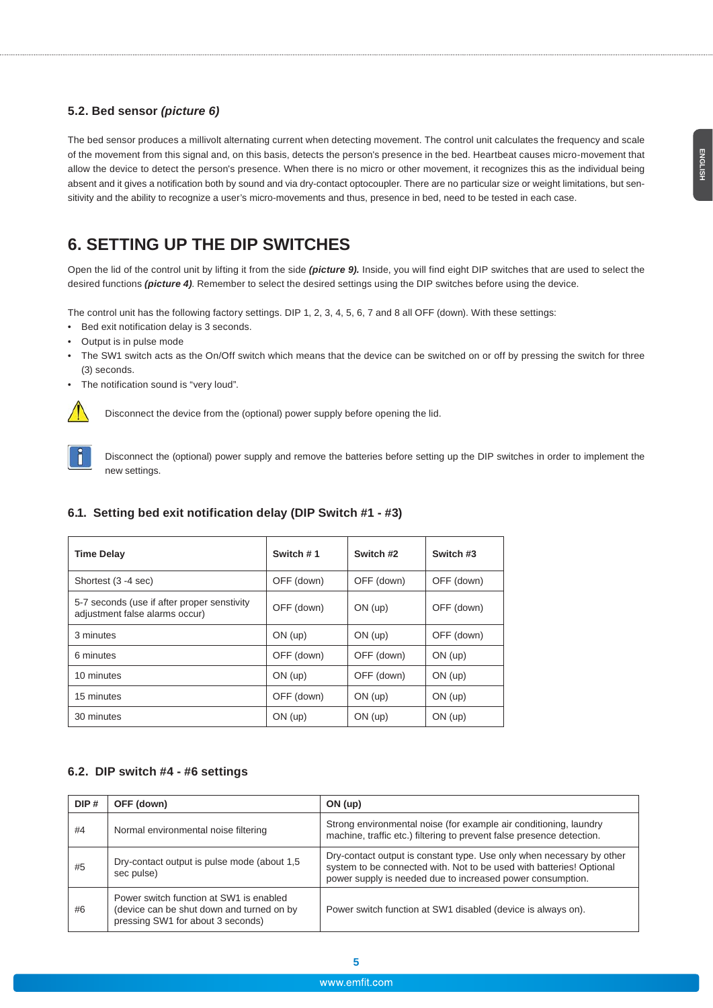#### **5.2. Bed sensor** *(picture 6)*

The bed sensor produces a millivolt alternating current when detecting movement. The control unit calculates the frequency and scale of the movement from this signal and, on this basis, detects the person's presence in the bed. Heartbeat causes micro-movement that allow the device to detect the person's presence. When there is no micro or other movement, it recognizes this as the individual being absent and it gives a notification both by sound and via dry-contact optocoupler. There are no particular size or weight limitations, but sensitivity and the ability to recognize a user's micro-movements and thus, presence in bed, need to be tested in each case.

### **6. SETTING UP THE DIP SWITCHES**

Open the lid of the control unit by lifting it from the side *(picture 9).* Inside, you will find eight DIP switches that are used to select the desired functions *(picture 4)*. Remember to select the desired settings using the DIP switches before using the device.

The control unit has the following factory settings. DIP 1, 2, 3, 4, 5, 6, 7 and 8 all OFF (down). With these settings:

- Bed exit notification delay is 3 seconds.
- Output is in pulse mode
- The SW1 switch acts as the On/Off switch which means that the device can be switched on or off by pressing the switch for three (3) seconds.
- The notification sound is "very loud".



Disconnect the device from the (optional) power supply before opening the lid.



Disconnect the (optional) power supply and remove the batteries before setting up the DIP switches in order to implement the new settings.

#### **6.1. Setting bed exit notification delay (DIP Switch #1 - #3)**

| <b>Time Delay</b>                                                             | Switch #1  | Switch #2  | Switch #3  |
|-------------------------------------------------------------------------------|------------|------------|------------|
| Shortest (3 -4 sec)                                                           | OFF (down) | OFF (down) | OFF (down) |
| 5-7 seconds (use if after proper senstivity<br>adjustment false alarms occur) | OFF (down) | $ON$ (up)  | OFF (down) |
| 3 minutes                                                                     | $ON$ (up)  | $ON$ (up)  | OFF (down) |
| 6 minutes                                                                     | OFF (down) | OFF (down) | $ON$ (up)  |
| 10 minutes                                                                    | $ON$ (up)  | OFF (down) | $ON$ (up)  |
| 15 minutes                                                                    | OFF (down) | $ON$ (up)  | $ON$ (up)  |
| 30 minutes                                                                    | $ON$ (up)  | $ON$ (up)  | $ON$ (up)  |

### **6.2. DIP switch #4 - #6 settings**

| DIP# | OFF (down)                                                                                                                | ON (up)                                                                                                                                                                                                     |
|------|---------------------------------------------------------------------------------------------------------------------------|-------------------------------------------------------------------------------------------------------------------------------------------------------------------------------------------------------------|
| #4   | Normal environmental noise filtering                                                                                      | Strong environmental noise (for example air conditioning, laundry<br>machine, traffic etc.) filtering to prevent false presence detection.                                                                  |
| #5   | Dry-contact output is pulse mode (about 1,5)<br>sec pulse)                                                                | Dry-contact output is constant type. Use only when necessary by other<br>system to be connected with. Not to be used with batteries! Optional<br>power supply is needed due to increased power consumption. |
| #6   | Power switch function at SW1 is enabled<br>(device can be shut down and turned on by<br>pressing SW1 for about 3 seconds) | Power switch function at SW1 disabled (device is always on).                                                                                                                                                |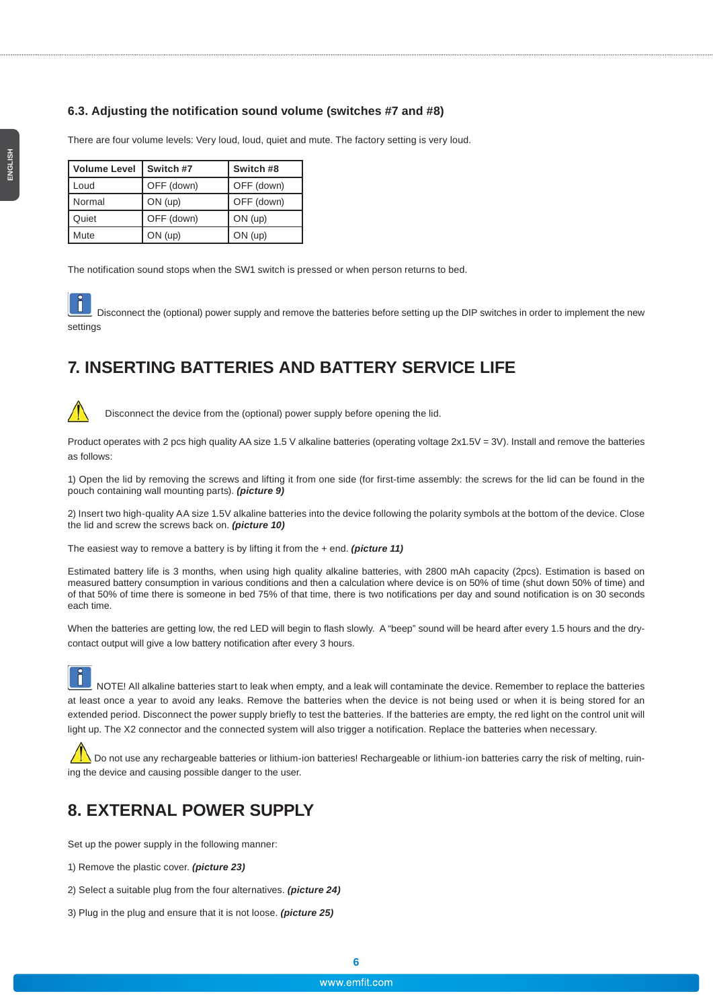#### **6.3. Adjusting the notification sound volume (switches #7 and #8)**

There are four volume levels: Very loud, loud, quiet and mute. The factory setting is very loud.

| <b>Volume Level</b> | Switch #7  | Switch #8  |
|---------------------|------------|------------|
| Loud                | OFF (down) | OFF (down) |
| Normal              | $ON$ (up)  | OFF (down) |
| Quiet               | OFF (down) | $ON$ (up)  |
| Mute                | $ON$ (up)  | $ON$ (up)  |

The notification sound stops when the SW1 switch is pressed or when person returns to bed.

 Disconnect the (optional) power supply and remove the batteries before setting up the DIP switches in order to implement the new settings

### **7. INSERTING BATTERIES AND BATTERY SERVICE LIFE**



Disconnect the device from the (optional) power supply before opening the lid.

Product operates with 2 pcs high quality AA size 1.5 V alkaline batteries (operating voltage 2x1.5V = 3V). Install and remove the batteries as follows:

1) Open the lid by removing the screws and lifting it from one side (for first-time assembly: the screws for the lid can be found in the pouch containing wall mounting parts). *(picture 9)*

2) Insert two high-quality AA size 1.5V alkaline batteries into the device following the polarity symbols at the bottom of the device. Close the lid and screw the screws back on. *(picture 10)*

The easiest way to remove a battery is by lifting it from the + end. *(picture 11)*

Estimated battery life is 3 months, when using high quality alkaline batteries, with 2800 mAh capacity (2pcs). Estimation is based on measured battery consumption in various conditions and then a calculation where device is on 50% of time (shut down 50% of time) and of that 50% of time there is someone in bed 75% of that time, there is two notifications per day and sound notification is on 30 seconds each time.

When the batteries are getting low, the red LED will begin to flash slowly. A "beep" sound will be heard after every 1.5 hours and the drycontact output will give a low battery notification after every 3 hours.

light up. The X2 connector and the connected system will also trigger a notification. Replace the batteries when necessary.

 NOTE! All alkaline batteries start to leak when empty, and a leak will contaminate the device. Remember to replace the batteries at least once a year to avoid any leaks. Remove the batteries when the device is not being used or when it is being stored for an extended period. Disconnect the power supply briefly to test the batteries. If the batteries are empty, the red light on the control unit will

Do not use any rechargeable batteries or lithium-ion batteries! Rechargeable or lithium-ion batteries carry the risk of melting, ruin-

### **8. EXTERNAL POWER SUPPLY**

ing the device and causing possible danger to the user.

Set up the power supply in the following manner:

- 1) Remove the plastic cover. *(picture 23)*
- 2) Select a suitable plug from the four alternatives. *(picture 24)*

3) Plug in the plug and ensure that it is not loose. *(picture 25)*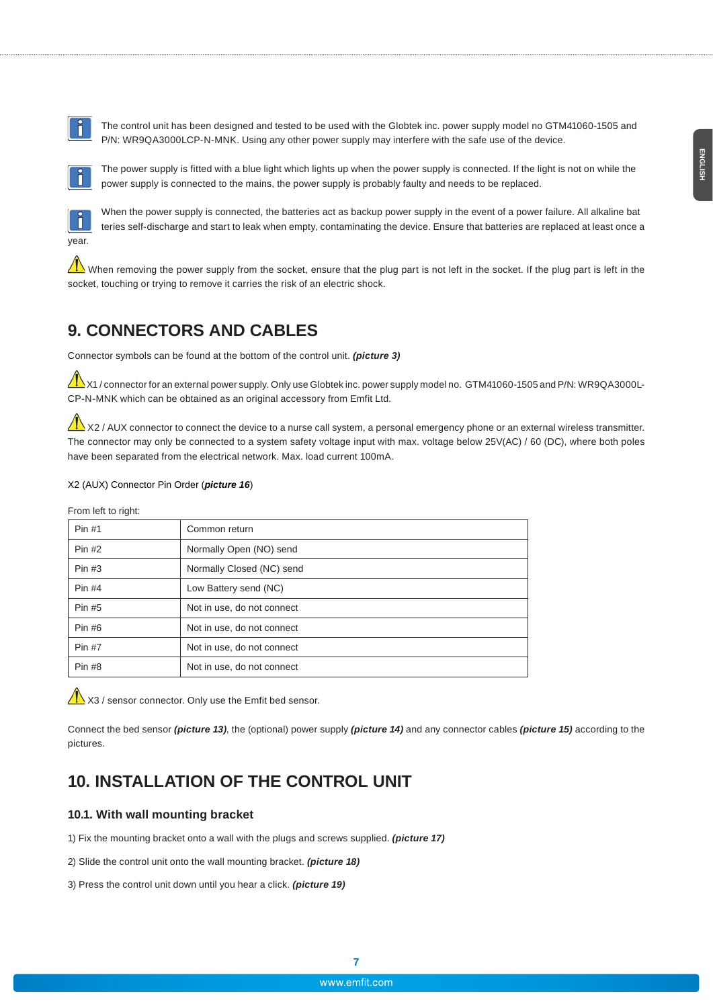The control unit has been designed and tested to be used with the Globtek inc. power supply model no GTM41060-1505 and P/N: WR9QA3000LCP-N-MNK. Using any other power supply may interfere with the safe use of the device.



 The power supply is fitted with a blue light which lights up when the power supply is connected. If the light is not on while the power supply is connected to the mains, the power supply is probably faulty and needs to be replaced.



When the power supply is connected, the batteries act as backup power supply in the event of a power failure. All alkaline bat teries self-discharge and start to leak when empty, contaminating the device. Ensure that batteries are replaced at least once a

When removing the power supply from the socket, ensure that the plug part is not left in the socket. If the plug part is left in the socket, touching or trying to remove it carries the risk of an electric shock.

### **9. CONNECTORS AND CABLES**

Connector symbols can be found at the bottom of the control unit. *(picture 3)*

X1 / connector for an external power supply. Only use Globtek inc. power supply model no. GTM41060-1505 and P/N: WR9QA3000L-CP-N-MNK which can be obtained as an original accessory from Emfit Ltd.

X2 / AUX connector to connect the device to a nurse call system, a personal emergency phone or an external wireless transmitter. The connector may only be connected to a system safety voltage input with max. voltage below 25V(AC) / 60 (DC), where both poles have been separated from the electrical network. Max. load current 100mA.

#### X2 (AUX) Connector Pin Order (*picture 16*)

From left to right:

| Pin #1   | Common return              |
|----------|----------------------------|
| $Pin$ #2 | Normally Open (NO) send    |
| Pin #3   | Normally Closed (NC) send  |
| $Pin$ #4 | Low Battery send (NC)      |
| Pin #5   | Not in use, do not connect |
| Pin #6   | Not in use, do not connect |
| $Pin$ #7 | Not in use, do not connect |
| Pin #8   | Not in use, do not connect |

X3 / sensor connector. Only use the Emfit bed sensor.

Connect the bed sensor *(picture 13)*, the (optional) power supply *(picture 14)* and any connector cables *(picture 15)* according to the pictures.

### **10. INSTALLATION OF THE CONTROL UNIT**

#### **10.1. With wall mounting bracket**

1) Fix the mounting bracket onto a wall with the plugs and screws supplied. *(picture 17)*

2) Slide the control unit onto the wall mounting bracket. *(picture 18)*

3) Press the control unit down until you hear a click. *(picture 19)*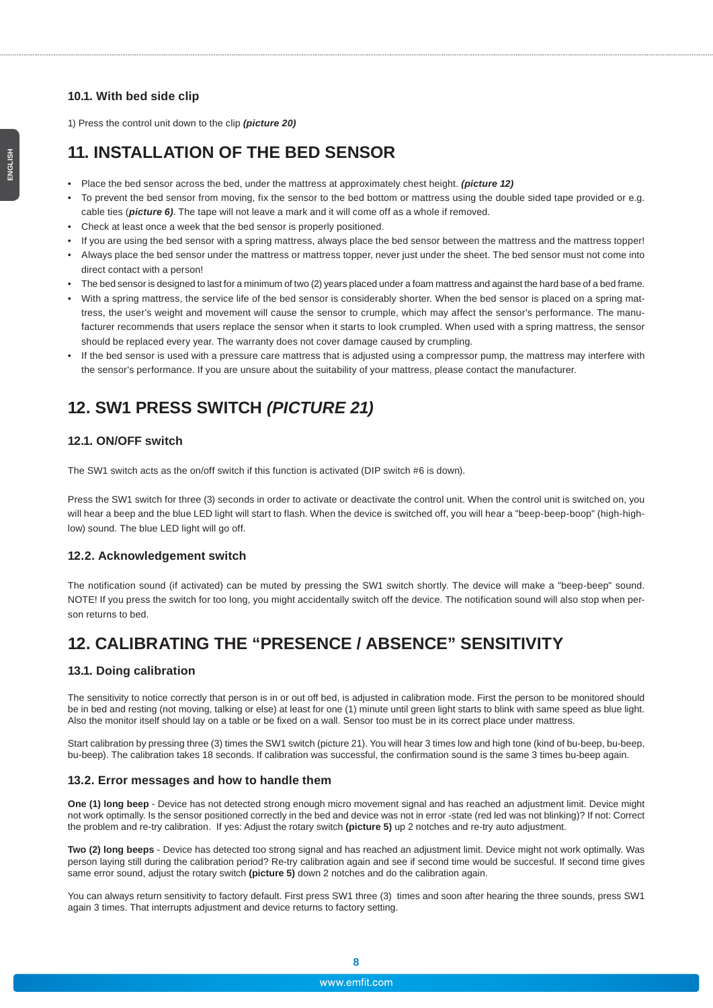#### **10.1. With bed side clip**

1) Press the control unit down to the clip *(picture 20)*

### **11. INSTALLATION OF THE BED SENSOR**

- Place the bed sensor across the bed, under the mattress at approximately chest height. *(picture 12)*
- To prevent the bed sensor from moving, fix the sensor to the bed bottom or mattress using the double sided tape provided or e.g. cable ties (*picture 6)*. The tape will not leave a mark and it will come off as a whole if removed.
- Check at least once a week that the bed sensor is properly positioned.
- If you are using the bed sensor with a spring mattress, always place the bed sensor between the mattress and the mattress topper!
- Always place the bed sensor under the mattress or mattress topper, never just under the sheet. The bed sensor must not come into direct contact with a person!
- The bed sensor is designed to last for a minimum of two (2) years placed under a foam mattress and against the hard base of a bed frame.
- With a spring mattress, the service life of the bed sensor is considerably shorter. When the bed sensor is placed on a spring mattress, the user's weight and movement will cause the sensor to crumple, which may affect the sensor's performance. The manufacturer recommends that users replace the sensor when it starts to look crumpled. When used with a spring mattress, the sensor should be replaced every year. The warranty does not cover damage caused by crumpling.
- If the bed sensor is used with a pressure care mattress that is adjusted using a compressor pump, the mattress may interfere with the sensor's performance. If you are unsure about the suitability of your mattress, please contact the manufacturer.

### **12. SW1 PRESS SWITCH** *(PICTURE 21)*

#### **12.1. ON/OFF switch**

The SW1 switch acts as the on/off switch if this function is activated (DIP switch #6 is down).

Press the SW1 switch for three (3) seconds in order to activate or deactivate the control unit. When the control unit is switched on, you will hear a beep and the blue LED light will start to flash. When the device is switched off, you will hear a "beep-beep-boop" (high-highlow) sound. The blue LED light will go off.

#### **12.2. Acknowledgement switch**

The notification sound (if activated) can be muted by pressing the SW1 switch shortly. The device will make a "beep-beep" sound. NOTE! If you press the switch for too long, you might accidentally switch off the device. The notification sound will also stop when person returns to bed.

### **12. CALIBRATING THE "PRESENCE / ABSENCE" SENSITIVITY**

#### **13.1. Doing calibration**

The sensitivity to notice correctly that person is in or out off bed, is adjusted in calibration mode. First the person to be monitored should be in bed and resting (not moving, talking or else) at least for one (1) minute until green light starts to blink with same speed as blue light. Also the monitor itself should lay on a table or be fixed on a wall. Sensor too must be in its correct place under mattress.

Start calibration by pressing three (3) times the SW1 switch (picture 21). You will hear 3 times low and high tone (kind of bu-beep, bu-beep, bu-beep). The calibration takes 18 seconds. If calibration was successful, the confirmation sound is the same 3 times bu-beep again.

#### **13.2. Error messages and how to handle them**

**One (1) long beep** - Device has not detected strong enough micro movement signal and has reached an adjustment limit. Device might not work optimally. Is the sensor positioned correctly in the bed and device was not in error -state (red led was not blinking)? If not: Correct the problem and re-try calibration. If yes: Adjust the rotary switch **(picture 5)** up 2 notches and re-try auto adjustment.

**Two (2) long beeps** - Device has detected too strong signal and has reached an adjustment limit. Device might not work optimally. Was person laying still during the calibration period? Re-try calibration again and see if second time would be succesful. If second time gives same error sound, adjust the rotary switch **(picture 5)** down 2 notches and do the calibration again.

You can always return sensitivity to factory default. First press SW1 three (3) times and soon after hearing the three sounds, press SW1 again 3 times. That interrupts adjustment and device returns to factory setting.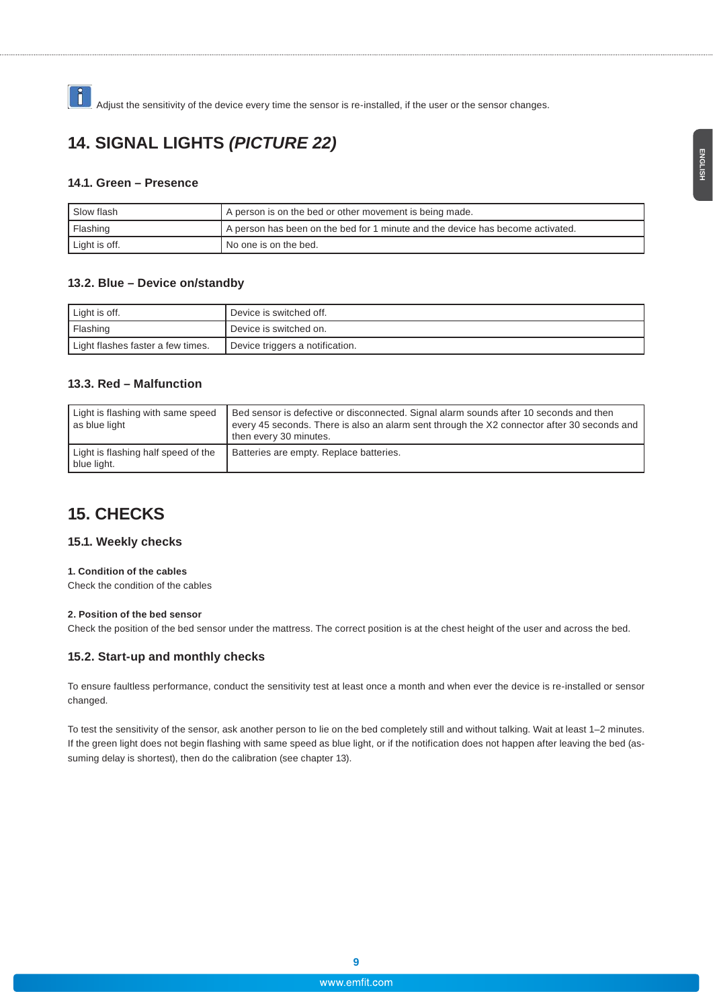Adjust the sensitivity of the device every time the sensor is re-installed, if the user or the sensor changes.

### **14. SIGNAL LIGHTS** *(PICTURE 22)*

#### **14.1. Green – Presence**

| Slow flash    | A person is on the bed or other movement is being made.                        |  |
|---------------|--------------------------------------------------------------------------------|--|
| Flashing      | A person has been on the bed for 1 minute and the device has become activated. |  |
| Light is off. | l No one is on the bed.                                                        |  |

#### **13.2. Blue – Device on/standby**

| Light is off.                     | Device is switched off.         |
|-----------------------------------|---------------------------------|
| Flashing                          | Device is switched on.          |
| Light flashes faster a few times. | Device triggers a notification. |

#### **13.3. Red – Malfunction**

| Light is flashing with same speed<br>as blue light | Bed sensor is defective or disconnected. Signal alarm sounds after 10 seconds and then<br>every 45 seconds. There is also an alarm sent through the X2 connector after 30 seconds and<br>then every 30 minutes. |
|----------------------------------------------------|-----------------------------------------------------------------------------------------------------------------------------------------------------------------------------------------------------------------|
| Light is flashing half speed of the<br>blue light. | Batteries are empty. Replace batteries.                                                                                                                                                                         |

### **15. CHECKS**

#### **15.1. Weekly checks**

#### **1. Condition of the cables**

Check the condition of the cables

#### **2. Position of the bed sensor**

Check the position of the bed sensor under the mattress. The correct position is at the chest height of the user and across the bed.

#### **15.2. Start-up and monthly checks**

To ensure faultless performance, conduct the sensitivity test at least once a month and when ever the device is re-installed or sensor changed.

To test the sensitivity of the sensor, ask another person to lie on the bed completely still and without talking. Wait at least 1–2 minutes. If the green light does not begin flashing with same speed as blue light, or if the notification does not happen after leaving the bed (assuming delay is shortest), then do the calibration (see chapter 13).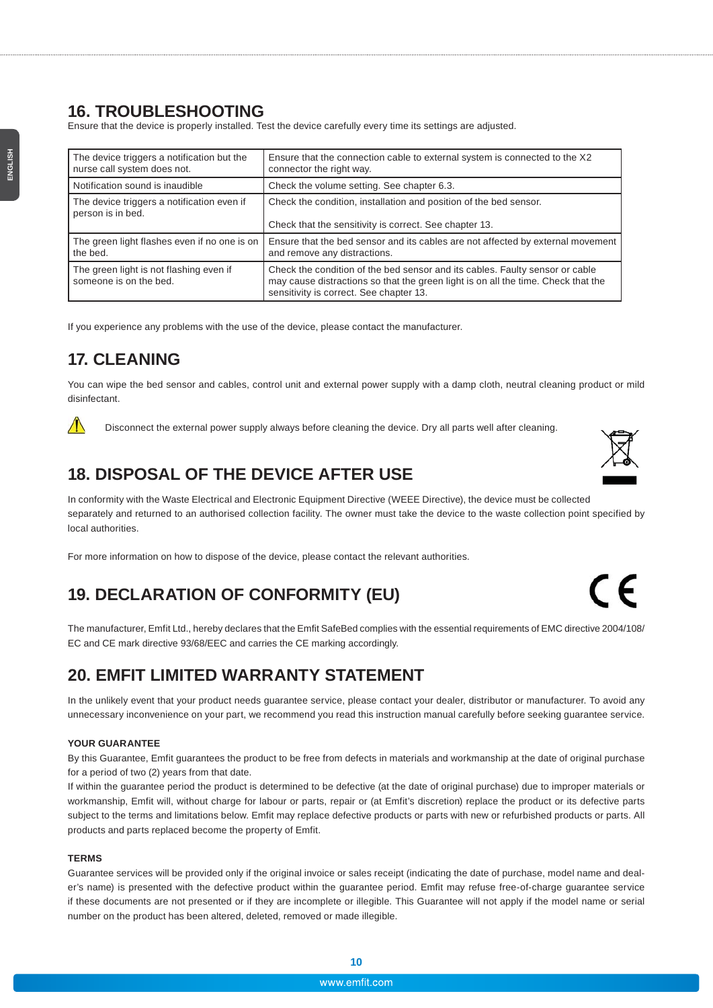### **16. TROUBLESHOOTING**

Ensure that the device is properly installed. Test the device carefully every time its settings are adjusted.

| The device triggers a notification but the                        | Ensure that the connection cable to external system is connected to the X2                                                                                                                                   |
|-------------------------------------------------------------------|--------------------------------------------------------------------------------------------------------------------------------------------------------------------------------------------------------------|
| nurse call system does not.                                       | connector the right way.                                                                                                                                                                                     |
| Notification sound is inaudible                                   | Check the volume setting. See chapter 6.3.                                                                                                                                                                   |
| The device triggers a notification even if                        | Check the condition, installation and position of the bed sensor.                                                                                                                                            |
| person is in bed.                                                 | Check that the sensitivity is correct. See chapter 13.                                                                                                                                                       |
| The green light flashes even if no one is on                      | Ensure that the bed sensor and its cables are not affected by external movement                                                                                                                              |
| the bed.                                                          | and remove any distractions.                                                                                                                                                                                 |
| The green light is not flashing even if<br>someone is on the bed. | Check the condition of the bed sensor and its cables. Faulty sensor or cable<br>may cause distractions so that the green light is on all the time. Check that the<br>sensitivity is correct. See chapter 13. |

If you experience any problems with the use of the device, please contact the manufacturer.

### **17. CLEANING**

 $\bigwedge$ 

You can wipe the bed sensor and cables, control unit and external power supply with a damp cloth, neutral cleaning product or mild disinfectant.

Disconnect the external power supply always before cleaning the device. Dry all parts well after cleaning.

# **18. DISPOSAL OF THE DEVICE AFTER USE**

In conformity with the Waste Electrical and Electronic Equipment Directive (WEEE Directive), the device must be collected separately and returned to an authorised collection facility. The owner must take the device to the waste collection point specified by local authorities.

For more information on how to dispose of the device, please contact the relevant authorities.

# **19. DECLARATION OF CONFORMITY (EU)**

The manufacturer, Emfit Ltd., hereby declares that the Emfit SafeBed complies with the essential requirements of EMC directive 2004/108/ EC and CE mark directive 93/68/EEC and carries the CE marking accordingly.

### **20. EMFIT LIMITED WARRANTY STATEMENT**

In the unlikely event that your product needs guarantee service, please contact your dealer, distributor or manufacturer. To avoid any unnecessary inconvenience on your part, we recommend you read this instruction manual carefully before seeking guarantee service.

#### **YOUR GUARANTEE**

By this Guarantee, Emfit guarantees the product to be free from defects in materials and workmanship at the date of original purchase for a period of two (2) years from that date.

If within the guarantee period the product is determined to be defective (at the date of original purchase) due to improper materials or workmanship, Emfit will, without charge for labour or parts, repair or (at Emfit's discretion) replace the product or its defective parts subject to the terms and limitations below. Emfit may replace defective products or parts with new or refurbished products or parts. All products and parts replaced become the property of Emfit.

#### **TERMS**

Guarantee services will be provided only if the original invoice or sales receipt (indicating the date of purchase, model name and dealer's name) is presented with the defective product within the guarantee period. Emfit may refuse free-of-charge guarantee service if these documents are not presented or if they are incomplete or illegible. This Guarantee will not apply if the model name or serial number on the product has been altered, deleted, removed or made illegible.



**10**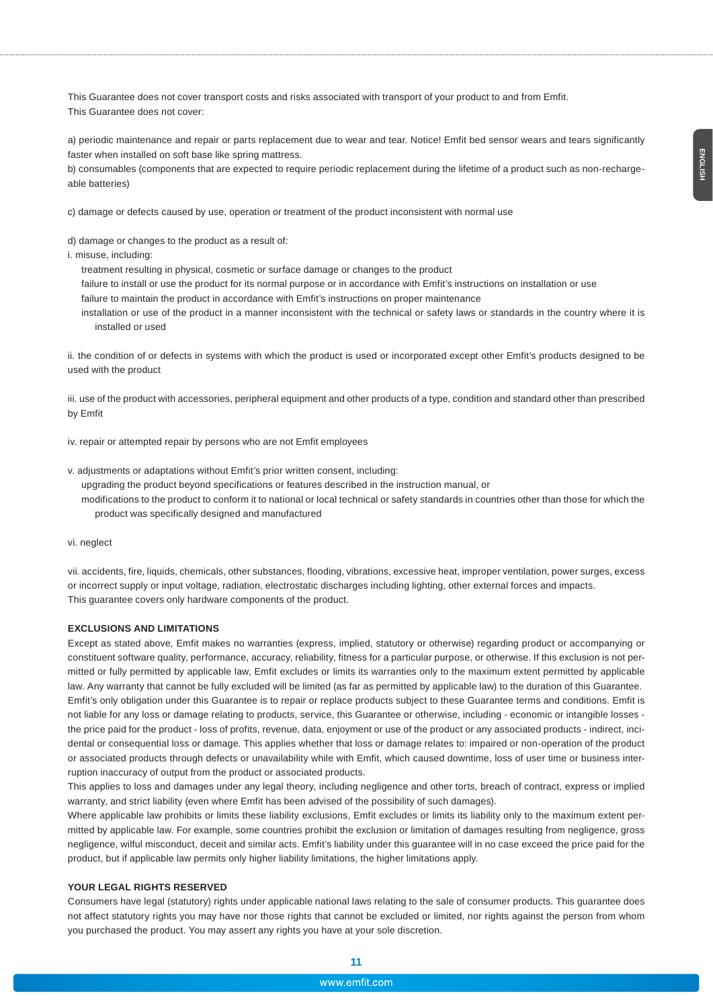This Guarantee does not cover transport costs and risks associated with transport of your product to and from Emfit. This Guarantee does not cover:

a) periodic maintenance and repair or parts replacement due to wear and tear. Notice! Emfit bed sensor wears and tears significantly faster when installed on soft base like spring mattress.

b) consumables (components that are expected to require periodic replacement during the lifetime of a product such as non-rechargeable batteries)

c) damage or defects caused by use, operation or treatment of the product inconsistent with normal use

d) damage or changes to the product as a result of:

i. misuse, including:

treatment resulting in physical, cosmetic or surface damage or changes to the product

failure to install or use the product for its normal purpose or in accordance with Emfit's instructions on installation or use

failure to maintain the product in accordance with Emfit's instructions on proper maintenance

installation or use of the product in a manner inconsistent with the technical or safety laws or standards in the country where it is installed or used

ii. the condition of or defects in systems with which the product is used or incorporated except other Emfit's products designed to be used with the product

iii. use of the product with accessories, peripheral equipment and other products of a type, condition and standard other than prescribed by Emfit

iv. repair or attempted repair by persons who are not Emfit employees

v. adjustments or adaptations without Emfit's prior written consent, including:

upgrading the product beyond specifications or features described in the instruction manual, or modifications to the product to conform it to national or local technical or safety standards in countries other than those for which the product was specifically designed and manufactured

vi. neglect

vii. accidents, fire, liquids, chemicals, other substances, flooding, vibrations, excessive heat, improper ventilation, power surges, excess or incorrect supply or input voltage, radiation, electrostatic discharges including lighting, other external forces and impacts. This guarantee covers only hardware components of the product.

#### **EXCLUSIONS AND LIMITATIONS**

Except as stated above, Emfit makes no warranties (express, implied, statutory or otherwise) regarding product or accompanying or constituent software quality, performance, accuracy, reliability, fitness for a particular purpose, or otherwise. If this exclusion is not permitted or fully permitted by applicable law, Emfit excludes or limits its warranties only to the maximum extent permitted by applicable law. Any warranty that cannot be fully excluded will be limited (as far as permitted by applicable law) to the duration of this Guarantee. Emfit's only obligation under this Guarantee is to repair or replace products subject to these Guarantee terms and conditions. Emfit is not liable for any loss or damage relating to products, service, this Guarantee or otherwise, including - economic or intangible losses the price paid for the product - loss of profits, revenue, data, enjoyment or use of the product or any associated products - indirect, incidental or consequential loss or damage. This applies whether that loss or damage relates to: impaired or non-operation of the product or associated products through defects or unavailability while with Emfit, which caused downtime, loss of user time or business interruption inaccuracy of output from the product or associated products.

This applies to loss and damages under any legal theory, including negligence and other torts, breach of contract, express or implied warranty, and strict liability (even where Emfit has been advised of the possibility of such damages).

Where applicable law prohibits or limits these liability exclusions, Emfit excludes or limits its liability only to the maximum extent permitted by applicable law. For example, some countries prohibit the exclusion or limitation of damages resulting from negligence, gross negligence, wilful misconduct, deceit and similar acts. Emfit's liability under this guarantee will in no case exceed the price paid for the product, but if applicable law permits only higher liability limitations, the higher limitations apply.

#### **YOUR LEGAL RIGHTS RESERVED**

Consumers have legal (statutory) rights under applicable national laws relating to the sale of consumer products. This guarantee does not affect statutory rights you may have nor those rights that cannot be excluded or limited, nor rights against the person from whom you purchased the product. You may assert any rights you have at your sole discretion.

**11**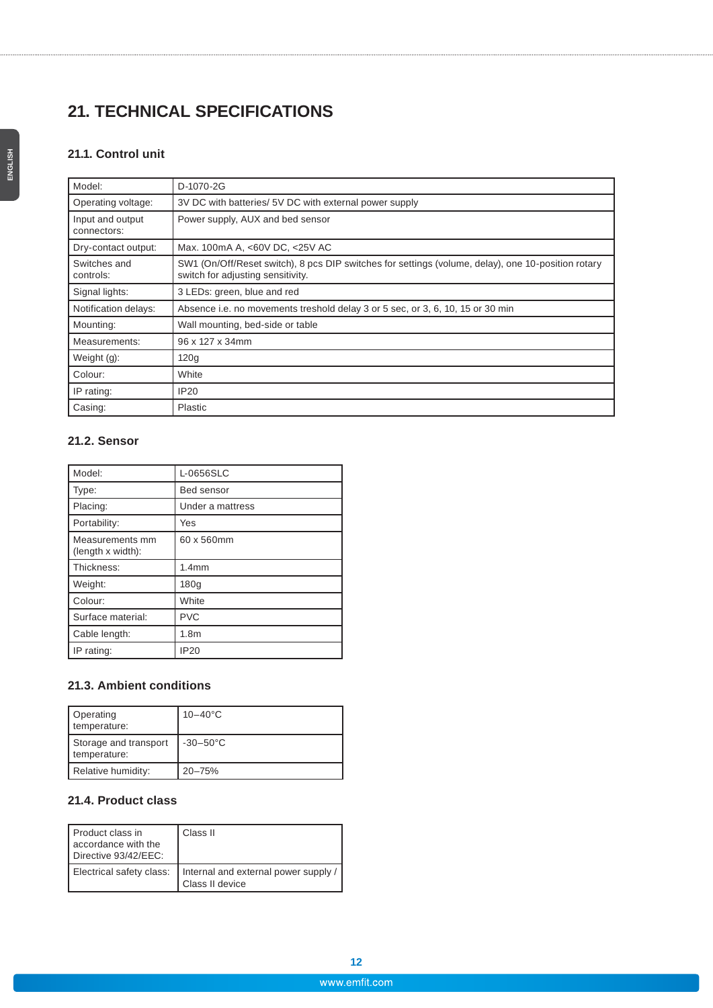# **21. TECHNICAL SPECIFICATIONS**

### **21.1. Control unit**

| Model:                          | D-1070-2G                                                                                                                               |
|---------------------------------|-----------------------------------------------------------------------------------------------------------------------------------------|
| Operating voltage:              | 3V DC with batteries/ 5V DC with external power supply                                                                                  |
| Input and output<br>connectors: | Power supply, AUX and bed sensor                                                                                                        |
| Dry-contact output:             | Max. 100mA A, <60V DC, <25V AC                                                                                                          |
| Switches and<br>controls:       | SW1 (On/Off/Reset switch), 8 pcs DIP switches for settings (volume, delay), one 10-position rotary<br>switch for adjusting sensitivity. |
| Signal lights:                  | 3 LEDs: green, blue and red                                                                                                             |
| Notification delays:            | Absence i.e. no movements treshold delay 3 or 5 sec, or 3, 6, 10, 15 or 30 min                                                          |
| Mounting:                       | Wall mounting, bed-side or table                                                                                                        |
| Measurements:                   | 96 x 127 x 34mm                                                                                                                         |
| Weight $(g)$ :                  | 120g                                                                                                                                    |
| Colour:                         | White                                                                                                                                   |
| IP rating:                      | <b>IP20</b>                                                                                                                             |
| Casing:                         | Plastic                                                                                                                                 |

### **21.2. Sensor**

| Model:                               | L-0656SLC         |
|--------------------------------------|-------------------|
| Type:                                | <b>Bed sensor</b> |
| Placing:                             | Under a mattress  |
| Portability:                         | Yes               |
| Measurements mm<br>(length x width): | 60 x 560mm        |
| Thickness:                           | 1.4 <sub>mm</sub> |
| Weight:                              | 180 <sub>g</sub>  |
| Colour:                              | White             |
| Surface material:                    | <b>PVC</b>        |
| Cable length:                        | 1.8 <sub>m</sub>  |
| IP rating:                           | <b>IP20</b>       |

### **21.3. Ambient conditions**

| Operating<br>temperature:             | $10 - 40^{\circ}$ C |
|---------------------------------------|---------------------|
| Storage and transport<br>temperature: | $-30-50^{\circ}$ C  |
| Relative humidity:                    | 20-75%              |

### **21.4. Product class**

| Product class in<br>accordance with the<br>Directive 93/42/EEC: | Class II                                                |
|-----------------------------------------------------------------|---------------------------------------------------------|
| Electrical safety class:                                        | Internal and external power supply /<br>Class II device |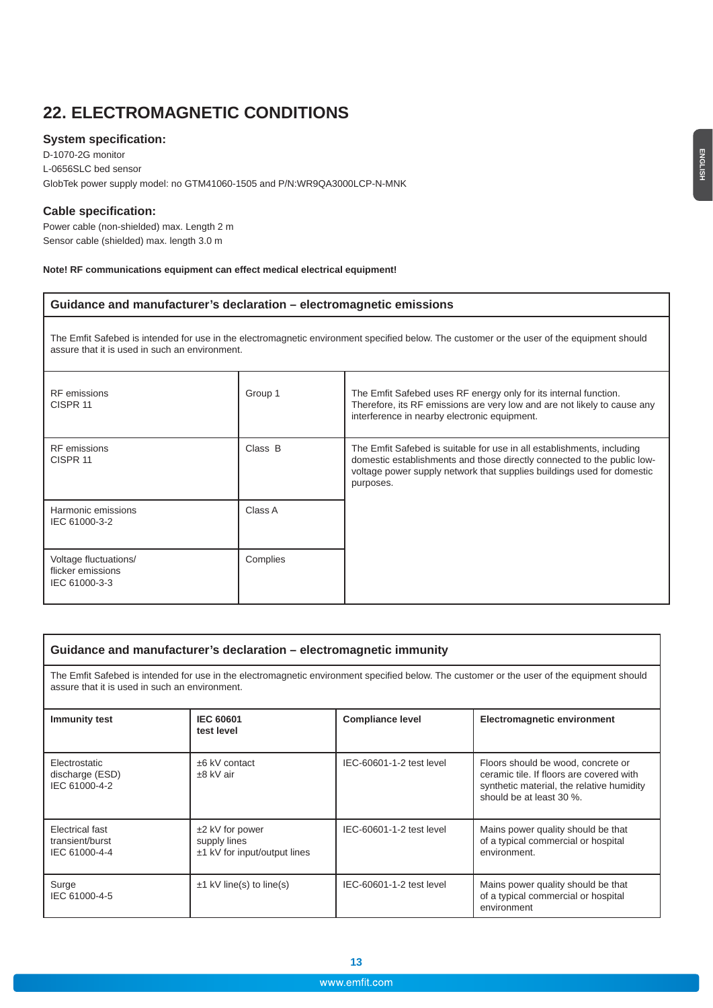### **22. ELECTROMAGNETIC CONDITIONS**

#### **System specification:**

D-1070-2G monitor L-0656SLC bed sensor GlobTek power supply model: no GTM41060-1505 and P/N:WR9QA3000LCP-N-MNK

#### **Cable specification:**

Power cable (non-shielded) max. Length 2 m Sensor cable (shielded) max. length 3.0 m

#### **Note! RF communications equipment can effect medical electrical equipment!**

#### **Guidance and manufacturer's declaration – electromagnetic emissions**

The Emfit Safebed is intended for use in the electromagnetic environment specified below. The customer or the user of the equipment should assure that it is used in such an environment.

| <b>RF</b> emissions<br>CISPR 11                             | Group 1  | The Emfit Safebed uses RF energy only for its internal function.<br>Therefore, its RF emissions are very low and are not likely to cause any<br>interference in nearby electronic equipment.                                             |
|-------------------------------------------------------------|----------|------------------------------------------------------------------------------------------------------------------------------------------------------------------------------------------------------------------------------------------|
| <b>RF</b> emissions<br>CISPR 11                             | Class B  | The Emfit Safebed is suitable for use in all establishments, including<br>domestic establishments and those directly connected to the public low-<br>voltage power supply network that supplies buildings used for domestic<br>purposes. |
| Harmonic emissions<br>IEC 61000-3-2                         | Class A  |                                                                                                                                                                                                                                          |
| Voltage fluctuations/<br>flicker emissions<br>IEC 61000-3-3 | Complies |                                                                                                                                                                                                                                          |

#### **Guidance and manufacturer's declaration – electromagnetic immunity**

The Emfit Safebed is intended for use in the electromagnetic environment specified below. The customer or the user of the equipment should assure that it is used in such an environment.

| <b>Immunity test</b>                                | <b>IEC 60601</b><br>test level                                      | <b>Compliance level</b>  | <b>Electromagnetic environment</b>                                                                                                                      |
|-----------------------------------------------------|---------------------------------------------------------------------|--------------------------|---------------------------------------------------------------------------------------------------------------------------------------------------------|
| Electrostatic<br>discharge (ESD)<br>IEC 61000-4-2   | $±6$ kV contact<br>$±8$ kV air                                      | IEC-60601-1-2 test level | Floors should be wood, concrete or<br>ceramic tile. If floors are covered with<br>synthetic material, the relative humidity<br>should be at least 30 %. |
| Electrical fast<br>transient/burst<br>IEC 61000-4-4 | $±2$ kV for power<br>supply lines<br>$±1$ kV for input/output lines | IEC-60601-1-2 test level | Mains power quality should be that<br>of a typical commercial or hospital<br>environment.                                                               |
| Surge<br>IEC 61000-4-5                              | $\pm$ 1 kV line(s) to line(s)                                       | IEC-60601-1-2 test level | Mains power quality should be that<br>of a typical commercial or hospital<br>environment                                                                |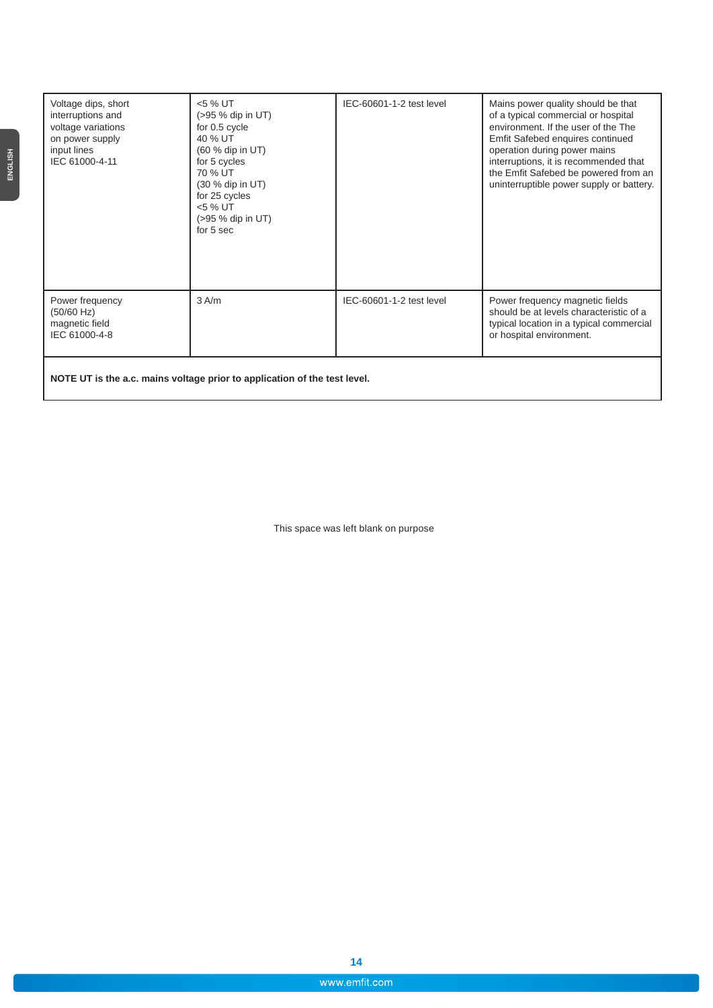| Voltage dips, short<br>interruptions and<br>voltage variations<br>on power supply<br>input lines<br>IEC 61000-4-11 | <5 % UT<br>$(>95%$ dip in UT)<br>for 0.5 cycle<br>40 % UT<br>$(60 %$ dip in UT)<br>for 5 cycles<br>70 % UT<br>(30 % dip in UT)<br>for 25 cycles<br>$<$ 5 % UT<br>$(>95%$ dip in UT)<br>for 5 sec | IEC-60601-1-2 test level | Mains power quality should be that<br>of a typical commercial or hospital<br>environment. If the user of the The<br>Emfit Safebed enquires continued<br>operation during power mains<br>interruptions, it is recommended that<br>the Emfit Safebed be powered from an<br>uninterruptible power supply or battery. |
|--------------------------------------------------------------------------------------------------------------------|--------------------------------------------------------------------------------------------------------------------------------------------------------------------------------------------------|--------------------------|-------------------------------------------------------------------------------------------------------------------------------------------------------------------------------------------------------------------------------------------------------------------------------------------------------------------|
| Power frequency<br>(50/60 Hz)<br>magnetic field<br>IEC 61000-4-8                                                   | $3$ A/m                                                                                                                                                                                          | IEC-60601-1-2 test level | Power frequency magnetic fields<br>should be at levels characteristic of a<br>typical location in a typical commercial<br>or hospital environment.                                                                                                                                                                |
|                                                                                                                    |                                                                                                                                                                                                  |                          |                                                                                                                                                                                                                                                                                                                   |

**NOTE UT is the a.c. mains voltage prior to application of the test level.**

This space was left blank on purpose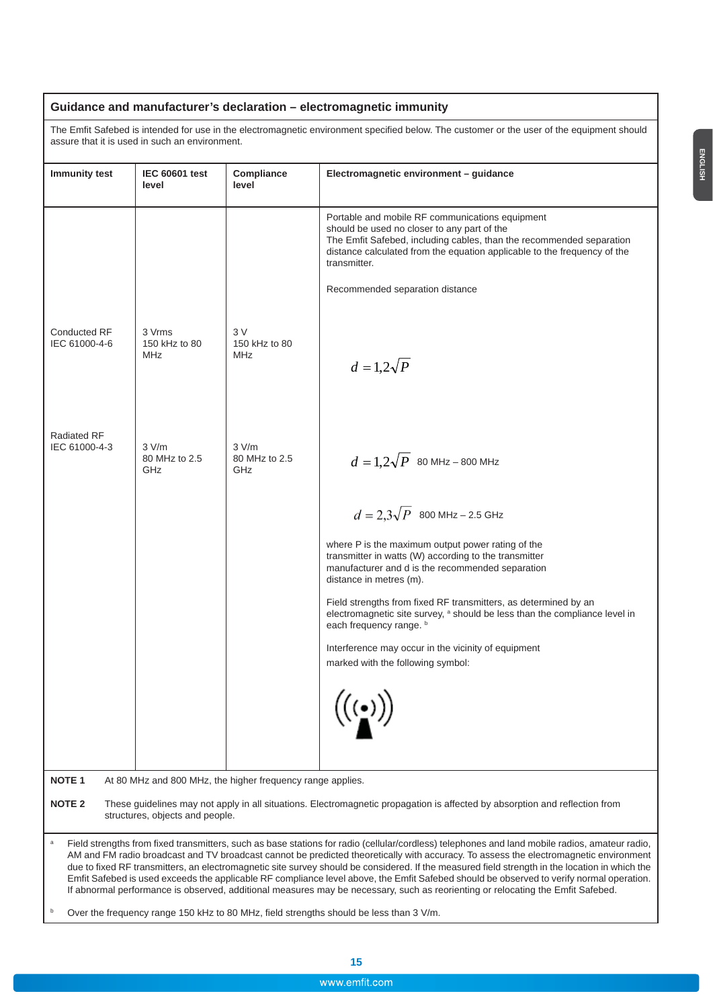### **Guidance and manufacturer's declaration – electromagnetic immunity**

The Emfit Safebed is intended for use in the electromagnetic environment specified below. The customer or the user of the equipment should assure that it is used in such an environment.

| <b>Immunity test</b>                                                                                                                                                                                                                                                                                                                                                                                                                                                                                                                                                                                                                                                                                                     | <b>IEC 60601 test</b>                 | Compliance                                                 | Electromagnetic environment - guidance                                                                                                                                                                                                                                                                |
|--------------------------------------------------------------------------------------------------------------------------------------------------------------------------------------------------------------------------------------------------------------------------------------------------------------------------------------------------------------------------------------------------------------------------------------------------------------------------------------------------------------------------------------------------------------------------------------------------------------------------------------------------------------------------------------------------------------------------|---------------------------------------|------------------------------------------------------------|-------------------------------------------------------------------------------------------------------------------------------------------------------------------------------------------------------------------------------------------------------------------------------------------------------|
|                                                                                                                                                                                                                                                                                                                                                                                                                                                                                                                                                                                                                                                                                                                          | level                                 | level                                                      |                                                                                                                                                                                                                                                                                                       |
|                                                                                                                                                                                                                                                                                                                                                                                                                                                                                                                                                                                                                                                                                                                          |                                       |                                                            | Portable and mobile RF communications equipment<br>should be used no closer to any part of the<br>The Emfit Safebed, including cables, than the recommended separation<br>distance calculated from the equation applicable to the frequency of the<br>transmitter.<br>Recommended separation distance |
| <b>Conducted RF</b><br>IEC 61000-4-6                                                                                                                                                                                                                                                                                                                                                                                                                                                                                                                                                                                                                                                                                     | 3 Vrms<br>150 kHz to 80<br><b>MHz</b> | 3 V<br>150 kHz to 80<br><b>MHz</b>                         | $d=1,2\sqrt{P}$                                                                                                                                                                                                                                                                                       |
| <b>Radiated RF</b><br>IEC 61000-4-3                                                                                                                                                                                                                                                                                                                                                                                                                                                                                                                                                                                                                                                                                      | 3 V/m<br>80 MHz to 2.5<br>GHz         | 3 V/m<br>80 MHz to 2.5<br>GHz                              | $d = 1,2\sqrt{P}$ 80 MHz – 800 MHz                                                                                                                                                                                                                                                                    |
|                                                                                                                                                                                                                                                                                                                                                                                                                                                                                                                                                                                                                                                                                                                          |                                       |                                                            | $d = 2.3\sqrt{P}$ 800 MHz – 2.5 GHz                                                                                                                                                                                                                                                                   |
|                                                                                                                                                                                                                                                                                                                                                                                                                                                                                                                                                                                                                                                                                                                          |                                       |                                                            | where P is the maximum output power rating of the<br>transmitter in watts (W) according to the transmitter<br>manufacturer and d is the recommended separation<br>distance in metres (m).                                                                                                             |
|                                                                                                                                                                                                                                                                                                                                                                                                                                                                                                                                                                                                                                                                                                                          |                                       |                                                            | Field strengths from fixed RF transmitters, as determined by an<br>electromagnetic site survey, a should be less than the compliance level in<br>each frequency range. b                                                                                                                              |
|                                                                                                                                                                                                                                                                                                                                                                                                                                                                                                                                                                                                                                                                                                                          |                                       |                                                            | Interference may occur in the vicinity of equipment<br>marked with the following symbol:                                                                                                                                                                                                              |
|                                                                                                                                                                                                                                                                                                                                                                                                                                                                                                                                                                                                                                                                                                                          |                                       |                                                            | $\lambda$ . $\lambda$                                                                                                                                                                                                                                                                                 |
| <b>NOTE 1</b>                                                                                                                                                                                                                                                                                                                                                                                                                                                                                                                                                                                                                                                                                                            |                                       | At 80 MHz and 800 MHz, the higher frequency range applies. |                                                                                                                                                                                                                                                                                                       |
| <b>NOTE 2</b><br>These guidelines may not apply in all situations. Electromagnetic propagation is affected by absorption and reflection from<br>structures, objects and people.                                                                                                                                                                                                                                                                                                                                                                                                                                                                                                                                          |                                       |                                                            |                                                                                                                                                                                                                                                                                                       |
| Field strengths from fixed transmitters, such as base stations for radio (cellular/cordless) telephones and land mobile radios, amateur radio,<br>AM and FM radio broadcast and TV broadcast cannot be predicted theoretically with accuracy. To assess the electromagnetic environment<br>due to fixed RF transmitters, an electromagnetic site survey should be considered. If the measured field strength in the location in which the<br>Emfit Safebed is used exceeds the applicable RF compliance level above, the Emfit Safebed should be observed to verify normal operation.<br>If abnormal performance is observed, additional measures may be necessary, such as reorienting or relocating the Emfit Safebed. |                                       |                                                            |                                                                                                                                                                                                                                                                                                       |
| b<br>Over the frequency range 150 kHz to 80 MHz, field strengths should be less than 3 V/m.                                                                                                                                                                                                                                                                                                                                                                                                                                                                                                                                                                                                                              |                                       |                                                            |                                                                                                                                                                                                                                                                                                       |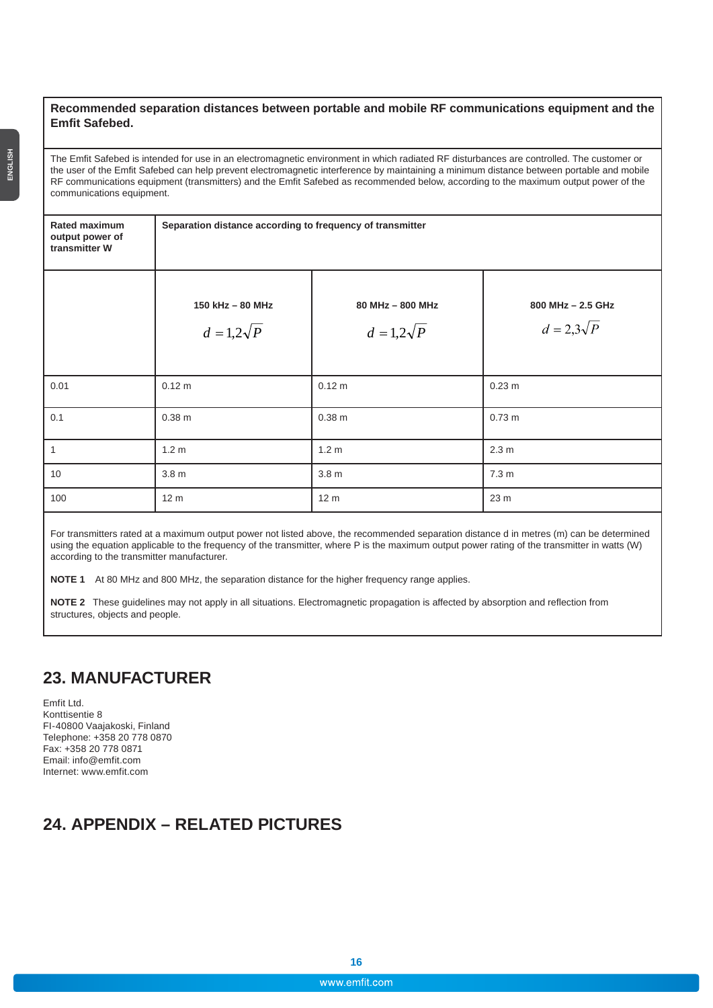#### **Recommended separation distances between portable and mobile RF communications equipment and the Emfit Safebed.**

The Emfit Safebed is intended for use in an electromagnetic environment in which radiated RF disturbances are controlled. The customer or the user of the Emfit Safebed can help prevent electromagnetic interference by maintaining a minimum distance between portable and mobile RF communications equipment (transmitters) and the Emfit Safebed as recommended below, according to the maximum output power of the communications equipment.

**Separation distance according to frequency of transmitter**

| output power of<br>transmitter W |                                     |                                     |                                      |
|----------------------------------|-------------------------------------|-------------------------------------|--------------------------------------|
|                                  | 150 kHz - 80 MHz<br>$d=1,2\sqrt{P}$ | 80 MHz - 800 MHz<br>$d=1,2\sqrt{P}$ | 800 MHz - 2.5 GHz<br>$d=2,3\sqrt{P}$ |
| 0.01                             | 0.12 m                              | 0.12 m                              | $0.23$ m                             |
| 0.1                              | 0.38 <sub>m</sub>                   | 0.38 <sub>m</sub>                   | $0.73 \text{ m}$                     |
| $\overline{1}$                   | 1.2 <sub>m</sub>                    | 1.2 <sub>m</sub>                    | 2.3 <sub>m</sub>                     |
| 10                               | 3.8 <sub>m</sub>                    | 3.8 <sub>m</sub>                    | 7.3 <sub>m</sub>                     |
| 100                              | 12 <sub>m</sub>                     | 12 <sub>m</sub>                     | 23 <sub>m</sub>                      |

For transmitters rated at a maximum output power not listed above, the recommended separation distance d in metres (m) can be determined using the equation applicable to the frequency of the transmitter, where P is the maximum output power rating of the transmitter in watts (W) according to the transmitter manufacturer.

**NOTE 1** At 80 MHz and 800 MHz, the separation distance for the higher frequency range applies.

**NOTE 2** These guidelines may not apply in all situations. Electromagnetic propagation is affected by absorption and reflection from structures, objects and people.

### **23. MANUFACTURER**

Emfit Ltd. Konttisentie 8 FI-40800 Vaajakoski, Finland Telephone: +358 20 778 0870 Fax: +358 20 778 0871 Email: info@emfit.com Internet: www.emfit.com

### **24. APPENDIX – RELATED PICTURES**

**Rated maximum**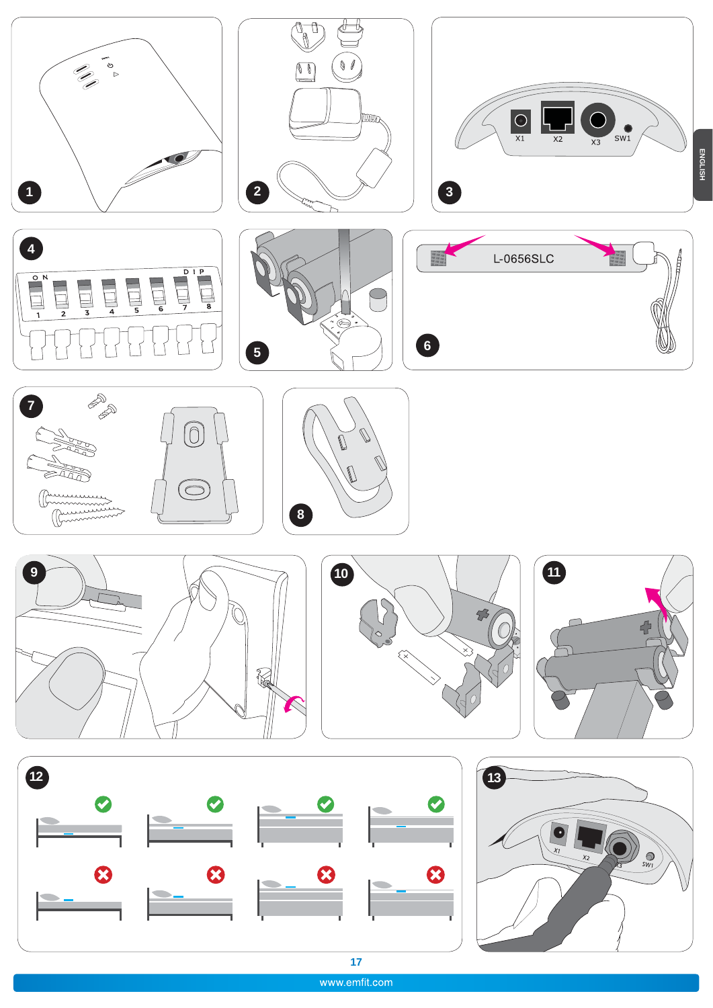

www.emfit.com